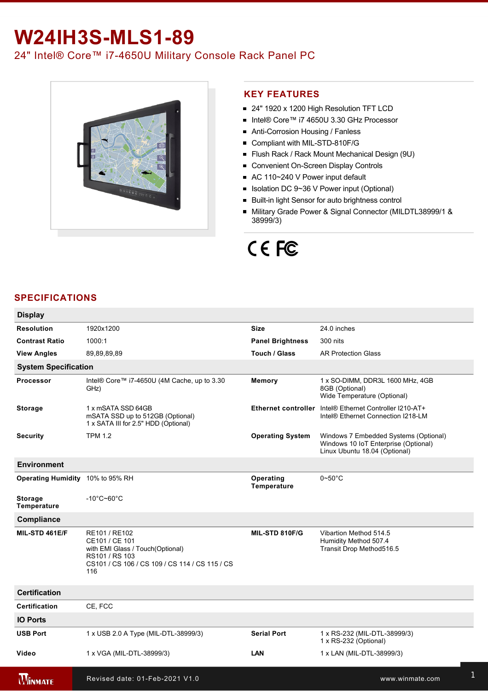## **W24IH3S-MLS1-89**

24" Intel® Core™ i7-4650U Military Console Rack Panel PC



#### **KEY FEATURES**

- 24" 1920 x 1200 High Resolution TFT LCD
- Intel® Core™ i7 4650U 3.30 GHz Processor
- Anti-Corrosion Housing / Fanless
- Compliant with MIL-STD-810F/G
- Flush Rack / Rack Mount Mechanical Design (9U)
- Convenient On-Screen Display Controls
- AC 110~240 V Power input default
- Isolation DC 9~36 V Power input (Optional)
- **Built-in light Sensor for auto brightness control**
- Military Grade Power & Signal Connector (MILDTL38999/1 & 38999/3)

# CE FC

### **SPECIFICATIONS**

| <b>Display</b>                   |                                                                                                                                                |                                 |                                                                                                                |  |  |
|----------------------------------|------------------------------------------------------------------------------------------------------------------------------------------------|---------------------------------|----------------------------------------------------------------------------------------------------------------|--|--|
| <b>Resolution</b>                | 1920x1200                                                                                                                                      | <b>Size</b>                     | 24.0 inches                                                                                                    |  |  |
| <b>Contrast Ratio</b>            | 1000:1                                                                                                                                         | <b>Panel Brightness</b>         | 300 nits                                                                                                       |  |  |
| <b>View Angles</b>               | 89,89,89,89                                                                                                                                    | Touch / Glass                   | <b>AR Protection Glass</b>                                                                                     |  |  |
| <b>System Specification</b>      |                                                                                                                                                |                                 |                                                                                                                |  |  |
| <b>Processor</b>                 | Intel® Core™ i7-4650U (4M Cache, up to 3.30<br>GHz)                                                                                            | Memory                          | 1 x SO-DIMM, DDR3L 1600 MHz, 4GB<br>8GB (Optional)<br>Wide Temperature (Optional)                              |  |  |
| <b>Storage</b>                   | 1 x mSATA SSD 64GB<br>mSATA SSD up to 512GB (Optional)<br>1 x SATA III for 2.5" HDD (Optional)                                                 | <b>Ethernet controller</b>      | Intel® Ethernet Controller I210-AT+<br>Intel® Ethernet Connection I218-LM                                      |  |  |
| <b>Security</b>                  | <b>TPM 1.2</b>                                                                                                                                 | <b>Operating System</b>         | Windows 7 Embedded Systems (Optional)<br>Windows 10 IoT Enterprise (Optional)<br>Linux Ubuntu 18.04 (Optional) |  |  |
| <b>Environment</b>               |                                                                                                                                                |                                 |                                                                                                                |  |  |
| Operating Humidity 10% to 95% RH |                                                                                                                                                | Operating<br><b>Temperature</b> | $0\negthinspace$ -50 $^{\circ}$ C                                                                              |  |  |
| <b>Storage</b><br>Temperature    | $-10^{\circ}$ C~60 $^{\circ}$ C                                                                                                                |                                 |                                                                                                                |  |  |
| Compliance                       |                                                                                                                                                |                                 |                                                                                                                |  |  |
| MIL-STD 461E/F                   | RE101 / RE102<br>CE101 / CE 101<br>with EMI Glass / Touch(Optional)<br>RS101 / RS 103<br>CS101 / CS 106 / CS 109 / CS 114 / CS 115 / CS<br>116 | MIL-STD 810F/G                  | Vibartion Method 514.5<br>Humidity Method 507.4<br>Transit Drop Method516.5                                    |  |  |
| <b>Certification</b>             |                                                                                                                                                |                                 |                                                                                                                |  |  |
| <b>Certification</b>             | CE, FCC                                                                                                                                        |                                 |                                                                                                                |  |  |
| <b>IO Ports</b>                  |                                                                                                                                                |                                 |                                                                                                                |  |  |
| <b>USB Port</b>                  | 1 x USB 2.0 A Type (MIL-DTL-38999/3)                                                                                                           | <b>Serial Port</b>              | 1 x RS-232 (MIL-DTL-38999/3)<br>1 x RS-232 (Optional)                                                          |  |  |
| Video                            | 1 x VGA (MIL-DTL-38999/3)                                                                                                                      | LAN                             | 1 x LAN (MIL-DTL-38999/3)                                                                                      |  |  |